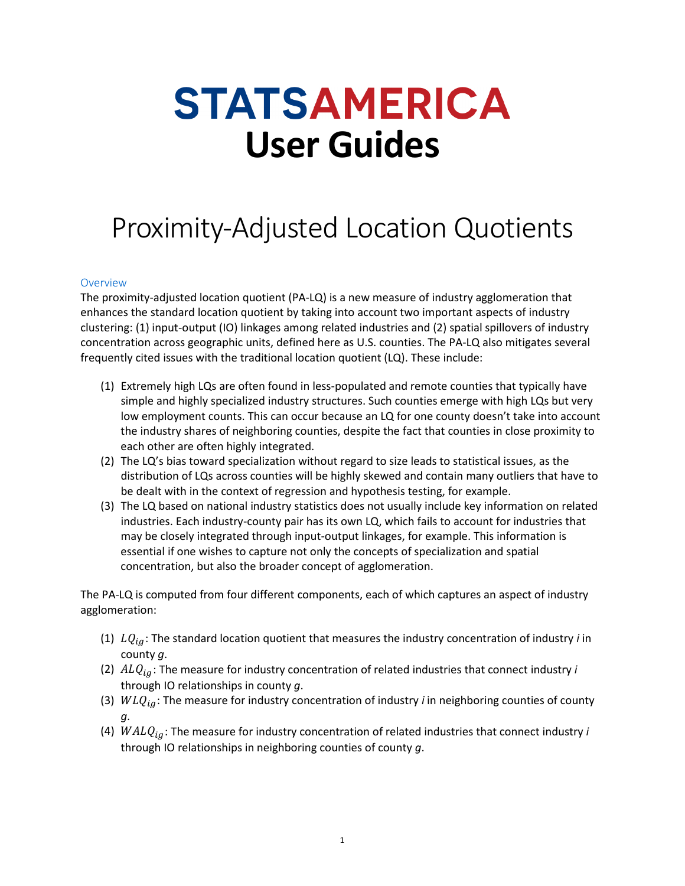## **STATSAMERICA User Guides**

## Proximity-Adjusted Location Quotients

## Overview

The proximity-adjusted location quotient (PA-LQ) is a new measure of industry agglomeration that enhances the standard location quotient by taking into account two important aspects of industry clustering: (1) input-output (IO) linkages among related industries and (2) spatial spillovers of industry concentration across geographic units, defined here as U.S. counties. The PA-LQ also mitigates several frequently cited issues with the traditional location quotient (LQ). These include:

- (1) Extremely high LQs are often found in less-populated and remote counties that typically have simple and highly specialized industry structures. Such counties emerge with high LQs but very low employment counts. This can occur because an LQ for one county doesn't take into account the industry shares of neighboring counties, despite the fact that counties in close proximity to each other are often highly integrated.
- (2) The LQ's bias toward specialization without regard to size leads to statistical issues, as the distribution of LQs across counties will be highly skewed and contain many outliers that have to be dealt with in the context of regression and hypothesis testing, for example.
- (3) The LQ based on national industry statistics does not usually include key information on related industries. Each industry-county pair has its own LQ, which fails to account for industries that may be closely integrated through input-output linkages, for example. This information is essential if one wishes to capture not only the concepts of specialization and spatial concentration, but also the broader concept of agglomeration.

The PA-LQ is computed from four different components, each of which captures an aspect of industry agglomeration:

- (1)  $LQ_{ig}$ : The standard location quotient that measures the industry concentration of industry *i* in county *g*.
- (2)  $ALQ_{ig}$ : The measure for industry concentration of related industries that connect industry *i* through IO relationships in county *g*.
- (3)  $WLQ_{ig}$ : The measure for industry concentration of industry *i* in neighboring counties of county *g*.
- (4)  $WALQ_{ia}$ : The measure for industry concentration of related industries that connect industry *i* through IO relationships in neighboring counties of county *g*.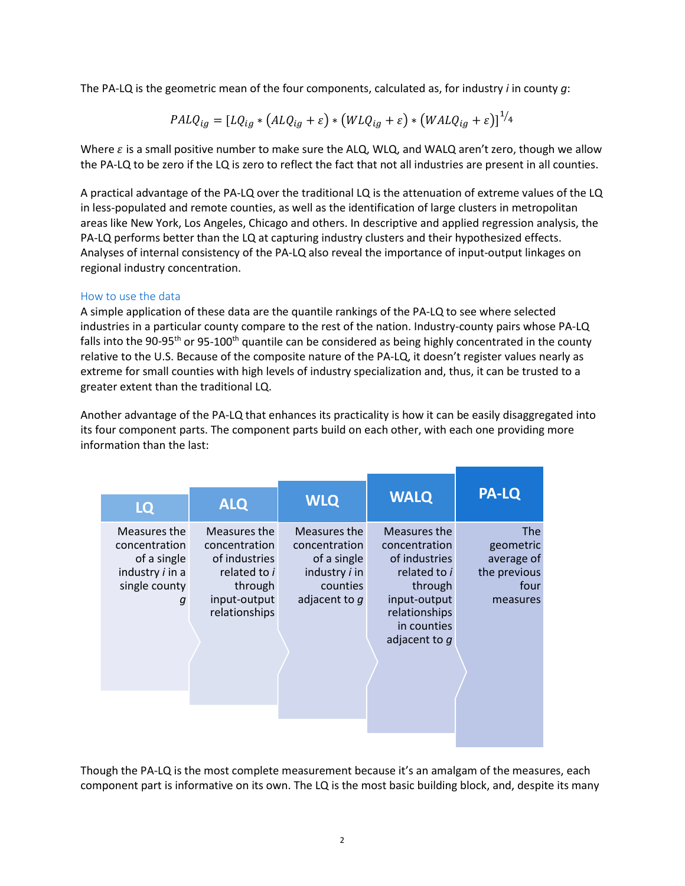The PA-LQ is the geometric mean of the four components, calculated as, for industry *i* in county *g*:

$$
PALQ_{ig} = [LQ_{ig} * (ALQ_{ig} + \varepsilon) * (WLQ_{ig} + \varepsilon) * (WALQ_{ig} + \varepsilon)]^{1/4}
$$

Where  $\varepsilon$  is a small positive number to make sure the ALQ, WLQ, and WALQ aren't zero, though we allow the PA-LQ to be zero if the LQ is zero to reflect the fact that not all industries are present in all counties.

A practical advantage of the PA-LQ over the traditional LQ is the attenuation of extreme values of the LQ in less-populated and remote counties, as well as the identification of large clusters in metropolitan areas like New York, Los Angeles, Chicago and others. In descriptive and applied regression analysis, the PA-LQ performs better than the LQ at capturing industry clusters and their hypothesized effects. Analyses of internal consistency of the PA-LQ also reveal the importance of input-output linkages on regional industry concentration.

## How to use the data

A simple application of these data are the quantile rankings of the PA-LQ to see where selected industries in a particular county compare to the rest of the nation. Industry-county pairs whose PA-LQ falls into the 90-95<sup>th</sup> or 95-100<sup>th</sup> quantile can be considered as being highly concentrated in the county relative to the U.S. Because of the composite nature of the PA-LQ, it doesn't register values nearly as extreme for small counties with high levels of industry specialization and, thus, it can be trusted to a greater extent than the traditional LQ.

Another advantage of the PA-LQ that enhances its practicality is how it can be easily disaggregated into its four component parts. The component parts build on each other, with each one providing more information than the last:

| LQ                                                                                           | <b>ALQ</b>                                                                                                 | <b>WLQ</b>                                                                                                 | <b>WALQ</b>                                                                                                                                  | <b>PA-LQ</b>                                                       |
|----------------------------------------------------------------------------------------------|------------------------------------------------------------------------------------------------------------|------------------------------------------------------------------------------------------------------------|----------------------------------------------------------------------------------------------------------------------------------------------|--------------------------------------------------------------------|
| Measures the<br>concentration<br>of a single<br>industry <i>i</i> in a<br>single county<br>g | Measures the<br>concentration<br>of industries<br>related to i<br>through<br>input-output<br>relationships | Measures the<br>concentration<br>of a single<br>industry <i>i</i> in<br><b>counties</b><br>adjacent to $q$ | Measures the<br>concentration<br>of industries<br>related to i<br>through<br>input-output<br>relationships<br>in counties<br>adjacent to $q$ | The<br>geometric<br>average of<br>the previous<br>four<br>measures |

Though the PA-LQ is the most complete measurement because it's an amalgam of the measures, each component part is informative on its own. The LQ is the most basic building block, and, despite its many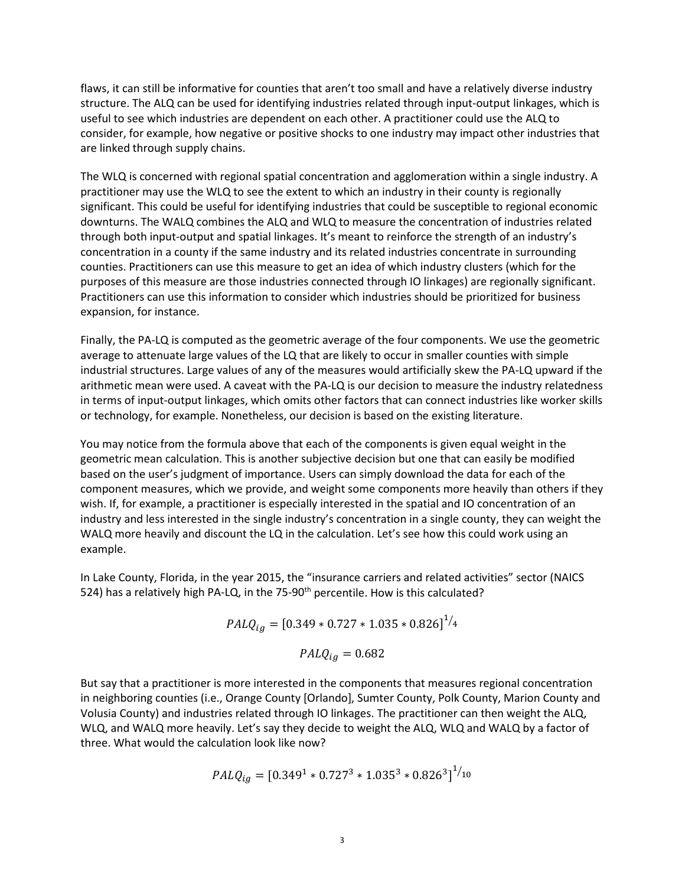flaws, it can still be informative for counties that aren't too small and have a relatively diverse industry structure. The ALQ can be used for identifying industries related through input-output linkages, which is useful to see which industries are dependent on each other. A practitioner could use the ALQ to consider, for example, how negative or positive shocks to one industry may impact other industries that are linked through supply chains.

The WLQ is concerned with regional spatial concentration and agglomeration within a single industry. A practitioner may use the WLQ to see the extent to which an industry in their county is regionally significant. This could be useful for identifying industries that could be susceptible to regional economic downturns. The WALQ combines the ALQ and WLQ to measure the concentration of industries related through both input-output and spatial linkages. It's meant to reinforce the strength of an industry's concentration in a county if the same industry and its related industries concentrate in surrounding counties. Practitioners can use this measure to get an idea of which industry clusters (which for the purposes of this measure are those industries connected through IO linkages) are regionally significant. Practitioners can use this information to consider which industries should be prioritized for business expansion, for instance.

Finally, the PA-LQ is computed as the geometric average of the four components. We use the geometric average to attenuate large values of the LQ that are likely to occur in smaller counties with simple industrial structures. Large values of any of the measures would artificially skew the PA-LQ upward if the arithmetic mean were used. A caveat with the PA-LQ is our decision to measure the industry relatedness in terms of input-output linkages, which omits other factors that can connect industries like worker skills or technology, for example. Nonetheless, our decision is based on the existing literature.

You may notice from the formula above that each of the components is given equal weight in the geometric mean calculation. This is another subjective decision but one that can easily be modified based on the user's judgment of importance. Users can simply download the data for each of the component measures, which we provide, and weight some components more heavily than others if they wish. If, for example, a practitioner is especially interested in the spatial and IO concentration of an industry and less interested in the single industry's concentration in a single county, they can weight the WALQ more heavily and discount the LQ in the calculation. Let's see how this could work using an example.

In Lake County, Florida, in the year 2015, the "insurance carriers and related activities" sector (NAICS 524) has a relatively high PA-LQ, in the 75-90<sup>th</sup> percentile. How is this calculated?

$$
PALQ_{ig} = [0.349 * 0.727 * 1.035 * 0.826]^{1/4}
$$

$$
PALQ_{ig} = 0.682
$$

But say that a practitioner is more interested in the components that measures regional concentration in neighboring counties (i.e., Orange County [Orlando], Sumter County, Polk County, Marion County and Volusia County) and industries related through IO linkages. The practitioner can then weight the ALQ, WLQ, and WALQ more heavily. Let's say they decide to weight the ALQ, WLQ and WALQ by a factor of three. What would the calculation look like now?

$$
PALQ_{ig} = [0.3491 * 0.7273 * 1.0353 * 0.8263]1/10
$$